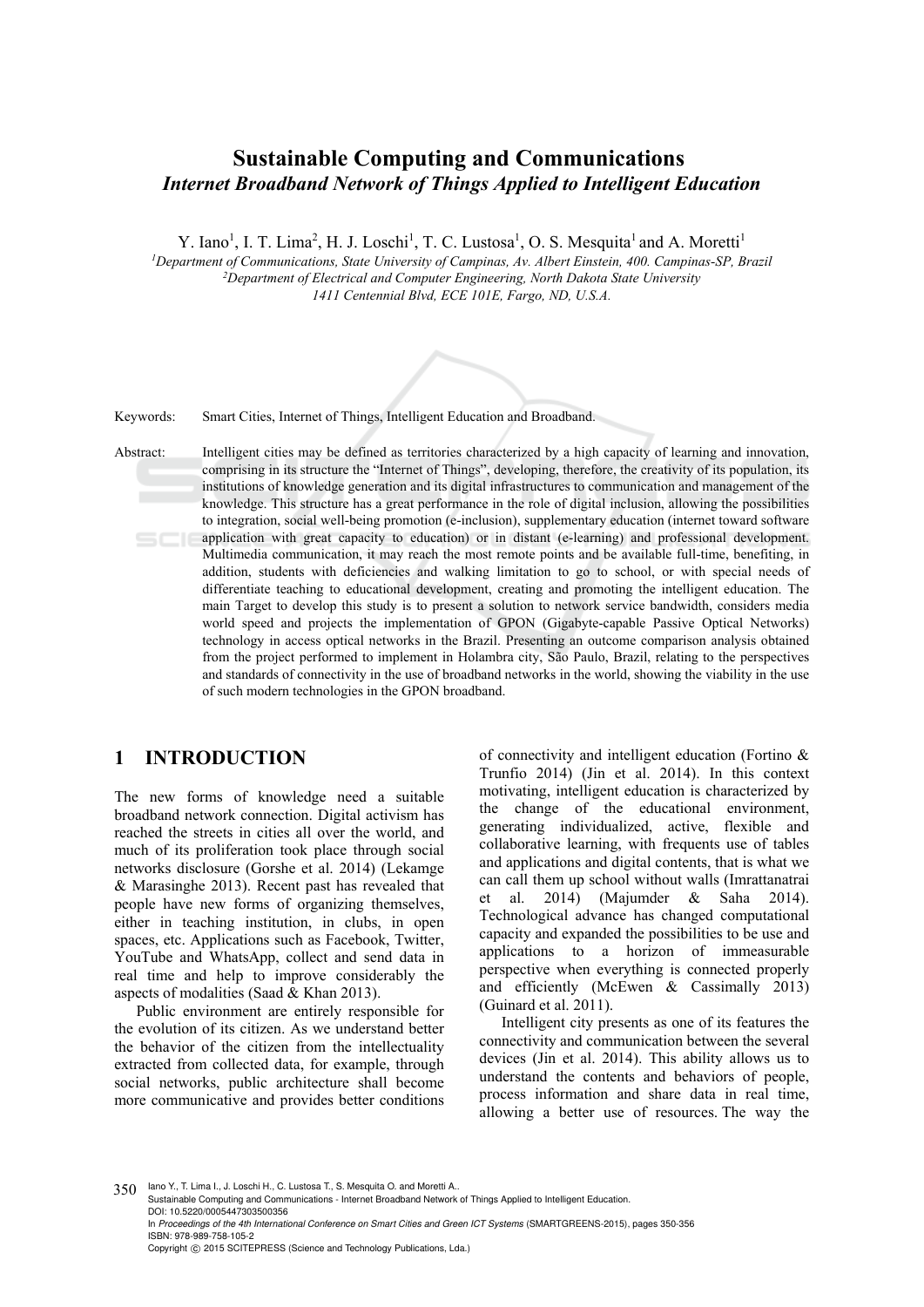# **Sustainable Computing and Communications**  *Internet Broadband Network of Things Applied to Intelligent Education*

Y. Iano<sup>1</sup>, I. T. Lima<sup>2</sup>, H. J. Loschi<sup>1</sup>, T. C. Lustosa<sup>1</sup>, O. S. Mesquita<sup>1</sup> and A. Moretti<sup>1</sup>

*1Department of Communications, State University of Campinas, Av. Albert Einstein, 400. Campinas-SP, Brazil 2Department of Electrical and Computer Engineering, North Dakota State University 1411 Centennial Blvd, ECE 101E, Fargo, ND, U.S.A.* 



Keywords: Smart Cities, Internet of Things, Intelligent Education and Broadband.

Abstract: Intelligent cities may be defined as territories characterized by a high capacity of learning and innovation, comprising in its structure the "Internet of Things", developing, therefore, the creativity of its population, its institutions of knowledge generation and its digital infrastructures to communication and management of the knowledge. This structure has a great performance in the role of digital inclusion, allowing the possibilities to integration, social well-being promotion (e-inclusion), supplementary education (internet toward software application with great capacity to education) or in distant (e-learning) and professional development. Multimedia communication, it may reach the most remote points and be available full-time, benefiting, in addition, students with deficiencies and walking limitation to go to school, or with special needs of differentiate teaching to educational development, creating and promoting the intelligent education. The main Target to develop this study is to present a solution to network service bandwidth, considers media world speed and projects the implementation of GPON (Gigabyte-capable Passive Optical Networks) technology in access optical networks in the Brazil. Presenting an outcome comparison analysis obtained from the project performed to implement in Holambra city, São Paulo, Brazil, relating to the perspectives and standards of connectivity in the use of broadband networks in the world, showing the viability in the use of such modern technologies in the GPON broadband.

### **1 INTRODUCTION**

The new forms of knowledge need a suitable broadband network connection. Digital activism has reached the streets in cities all over the world, and much of its proliferation took place through social networks disclosure (Gorshe et al. 2014) (Lekamge & Marasinghe 2013). Recent past has revealed that people have new forms of organizing themselves, either in teaching institution, in clubs, in open spaces, etc. Applications such as Facebook, Twitter, YouTube and WhatsApp, collect and send data in real time and help to improve considerably the aspects of modalities (Saad & Khan 2013).

Public environment are entirely responsible for the evolution of its citizen. As we understand better the behavior of the citizen from the intellectuality extracted from collected data, for example, through social networks, public architecture shall become more communicative and provides better conditions of connectivity and intelligent education (Fortino & Trunfio 2014) (Jin et al. 2014). In this context motivating, intelligent education is characterized by the change of the educational environment, generating individualized, active, flexible and collaborative learning, with frequents use of tables and applications and digital contents, that is what we can call them up school without walls (Imrattanatrai et al. 2014) (Majumder & Saha 2014). Technological advance has changed computational capacity and expanded the possibilities to be use and applications to a horizon of immeasurable perspective when everything is connected properly and efficiently (McEwen & Cassimally 2013) (Guinard et al. 2011).

Intelligent city presents as one of its features the connectivity and communication between the several devices (Jin et al. 2014). This ability allows us to understand the contents and behaviors of people, process information and share data in real time, allowing a better use of resources. The way the

350 Iano Y., T. Lima I., J. Loschi H., C. Lustosa T., S. Mesquita O. and Moretti A. Sustainable Computing and Communications - Internet Broadband Network of Things Applied to Intelligent Education. DOI: 10.5220/0005447303500356 In *Proceedings of the 4th International Conference on Smart Cities and Green ICT Systems* (SMARTGREENS-2015), pages 350-356 ISBN: 978-989-758-105-2 Copyright © 2015 SCITEPRESS (Science and Technology Publications, Lda.)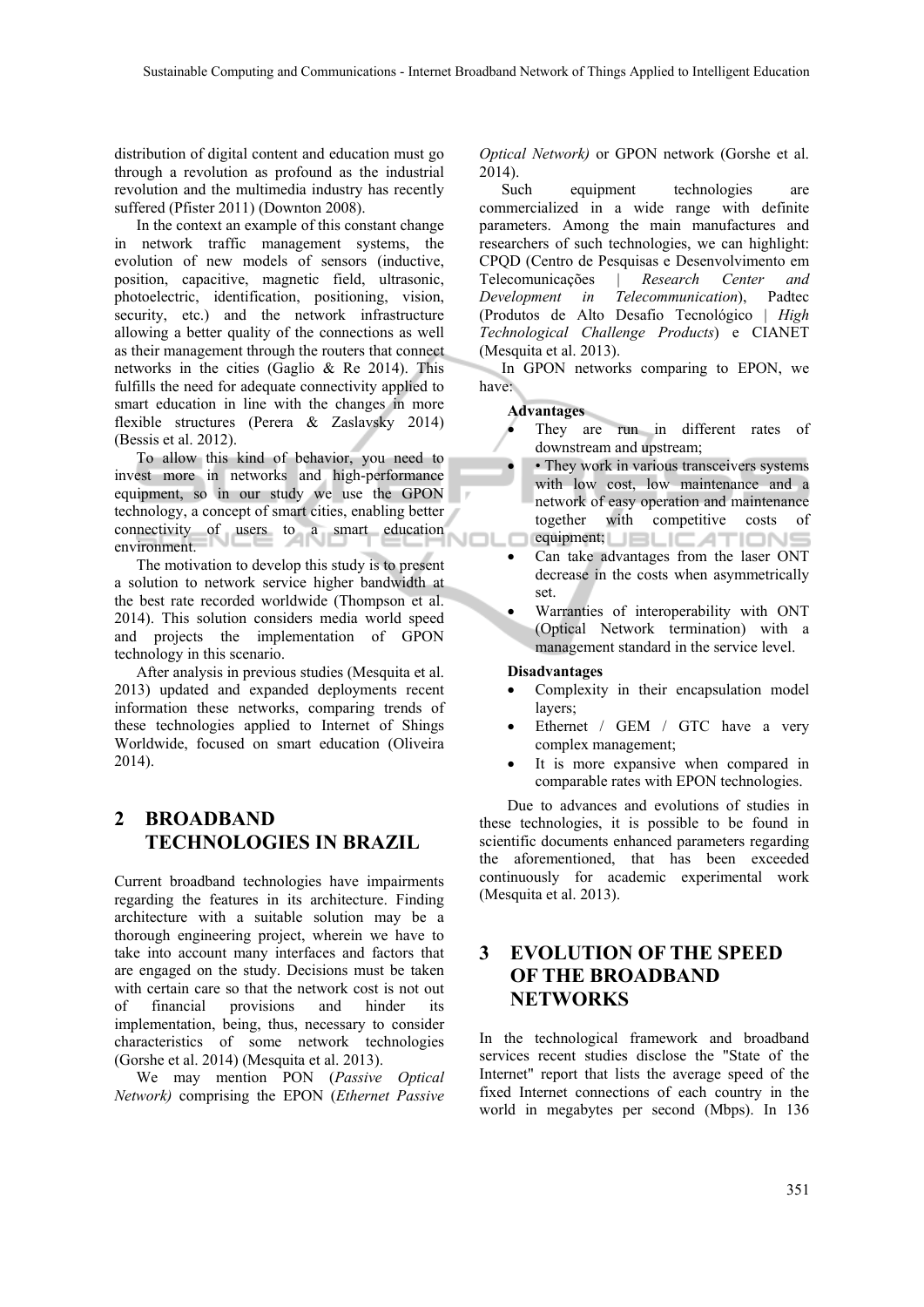distribution of digital content and education must go through a revolution as profound as the industrial revolution and the multimedia industry has recently suffered (Pfister 2011) (Downton 2008).

In the context an example of this constant change in network traffic management systems, the evolution of new models of sensors (inductive, position, capacitive, magnetic field, ultrasonic, photoelectric, identification, positioning, vision, security, etc.) and the network infrastructure allowing a better quality of the connections as well as their management through the routers that connect networks in the cities (Gaglio & Re 2014). This fulfills the need for adequate connectivity applied to smart education in line with the changes in more flexible structures (Perera & Zaslavsky 2014) (Bessis et al. 2012).

To allow this kind of behavior, you need to invest more in networks and high-performance equipment, so in our study we use the GPON technology, a concept of smart cities, enabling better connectivity of users to a smart education environment.

The motivation to develop this study is to present a solution to network service higher bandwidth at the best rate recorded worldwide (Thompson et al. 2014). This solution considers media world speed and projects the implementation of GPON technology in this scenario.

After analysis in previous studies (Mesquita et al. 2013) updated and expanded deployments recent information these networks, comparing trends of these technologies applied to Internet of Shings Worldwide, focused on smart education (Oliveira 2014).

## **2 BROADBAND TECHNOLOGIES IN BRAZIL**

Current broadband technologies have impairments regarding the features in its architecture. Finding architecture with a suitable solution may be a thorough engineering project, wherein we have to take into account many interfaces and factors that are engaged on the study. Decisions must be taken with certain care so that the network cost is not out of financial provisions and hinder implementation, being, thus, necessary to consider characteristics of some network technologies (Gorshe et al. 2014) (Mesquita et al. 2013).

We may mention PON (*Passive Optical Network)* comprising the EPON (*Ethernet Passive*  *Optical Network)* or GPON network (Gorshe et al. 2014).

Such equipment technologies are commercialized in a wide range with definite parameters. Among the main manufactures and researchers of such technologies, we can highlight: CPQD (Centro de Pesquisas e Desenvolvimento em Telecomunicações | *Research Center and Development in Telecommunication*), Padtec (Produtos de Alto Desafio Tecnológico | *High Technological Challenge Products*) e CIANET (Mesquita et al. 2013).

In GPON networks comparing to EPON, we have:

#### **Advantages**

- They are run in different rates of downstream and upstream;
- They work in various transceivers systems with low cost, low maintenance and a network of easy operation and maintenance together with competitive costs of equipment; LIBLICATIONS
- Can take advantages from the laser ONT decrease in the costs when asymmetrically set.
- Warranties of interoperability with ONT (Optical Network termination) with a management standard in the service level.

#### **Disadvantages**

- Complexity in their encapsulation model layers;
- Ethernet / GEM / GTC have a very complex management;
- It is more expansive when compared in comparable rates with EPON technologies.

Due to advances and evolutions of studies in these technologies, it is possible to be found in scientific documents enhanced parameters regarding the aforementioned, that has been exceeded continuously for academic experimental work (Mesquita et al. 2013).

## **3 EVOLUTION OF THE SPEED OF THE BROADBAND NETWORKS**

In the technological framework and broadband services recent studies disclose the "State of the Internet" report that lists the average speed of the fixed Internet connections of each country in the world in megabytes per second (Mbps). In 136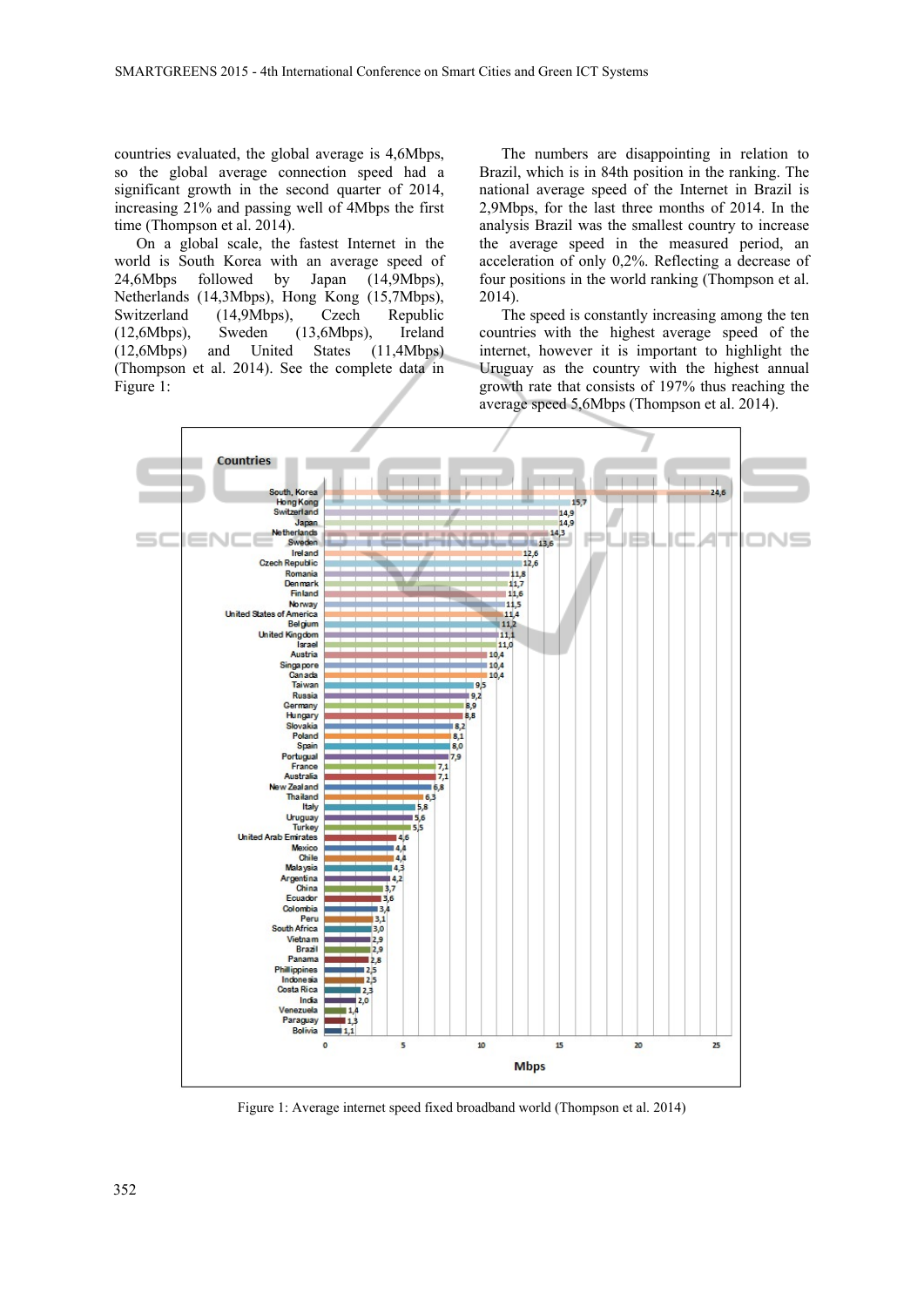countries evaluated, the global average is 4,6Mbps, so the global average connection speed had a significant growth in the second quarter of 2014, increasing 21% and passing well of 4Mbps the first time (Thompson et al. 2014).

On a global scale, the fastest Internet in the world is South Korea with an average speed of 24,6Mbps followed by Japan (14,9Mbps), Netherlands (14,3Mbps), Hong Kong (15,7Mbps), Switzerland (14,9Mbps), Czech Republic (12,6Mbps), Sweden (13,6Mbps), Ireland (12,6Mbps) and United States (11,4Mbps) (Thompson et al. 2014). See the complete data in Figure 1:

The numbers are disappointing in relation to Brazil, which is in 84th position in the ranking. The national average speed of the Internet in Brazil is 2,9Mbps, for the last three months of 2014. In the analysis Brazil was the smallest country to increase the average speed in the measured period, an acceleration of only 0,2%. Reflecting a decrease of four positions in the world ranking (Thompson et al. 2014).

The speed is constantly increasing among the ten countries with the highest average speed of the internet, however it is important to highlight the Uruguay as the country with the highest annual growth rate that consists of 197% thus reaching the average speed 5,6Mbps (Thompson et al. 2014).



Figure 1: Average internet speed fixed broadband world (Thompson et al. 2014)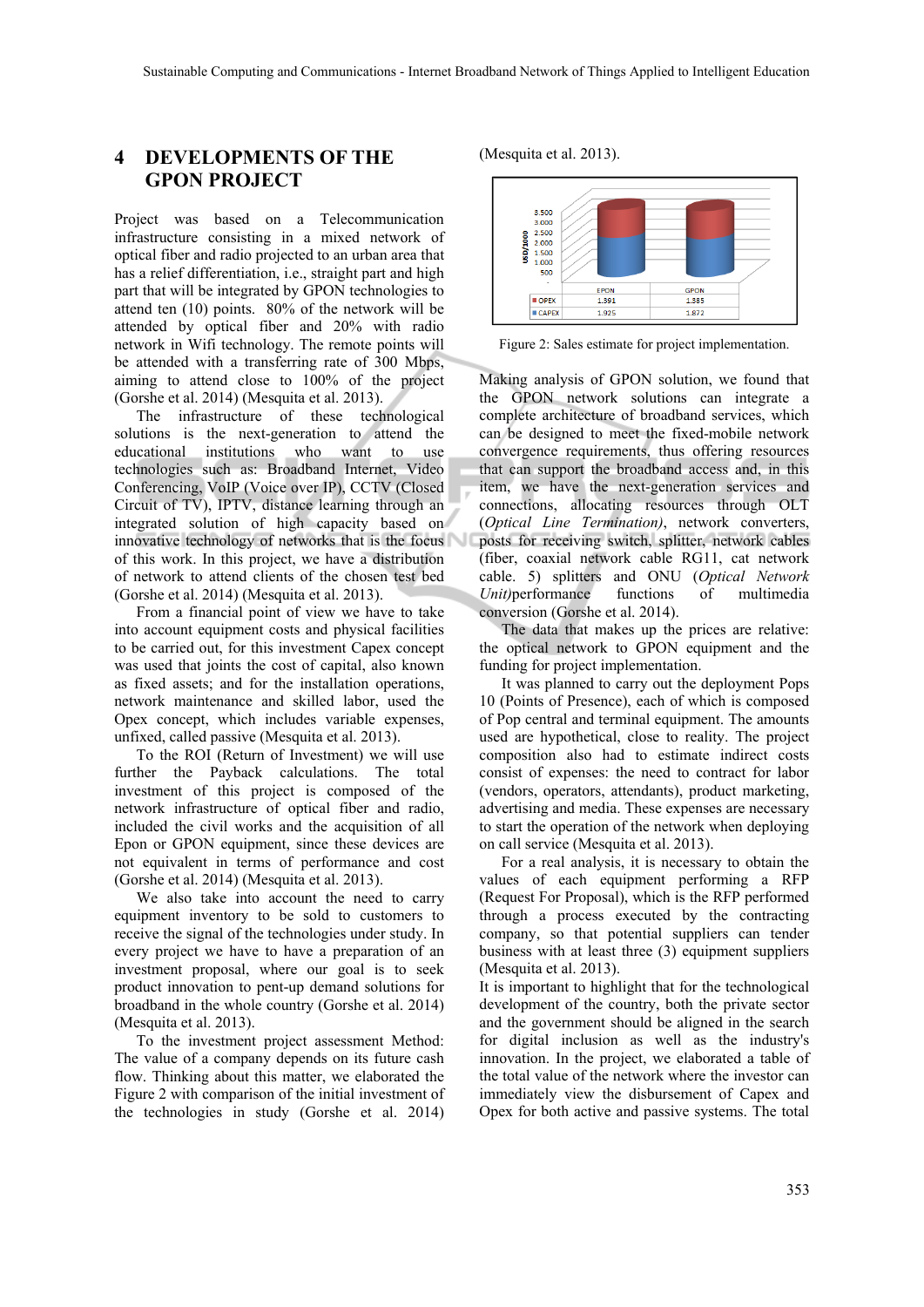## **4 DEVELOPMENTS OF THE GPON PROJECT**

Project was based on a Telecommunication infrastructure consisting in a mixed network of optical fiber and radio projected to an urban area that has a relief differentiation, i.e., straight part and high part that will be integrated by GPON technologies to attend ten (10) points. 80% of the network will be attended by optical fiber and 20% with radio network in Wifi technology. The remote points will be attended with a transferring rate of 300 Mbps, aiming to attend close to 100% of the project (Gorshe et al. 2014) (Mesquita et al. 2013).

The infrastructure of these technological solutions is the next-generation to attend the educational institutions who want to use technologies such as: Broadband Internet, Video Conferencing, VoIP (Voice over IP), CCTV (Closed Circuit of TV), IPTV, distance learning through an integrated solution of high capacity based on innovative technology of networks that is the focus of this work. In this project, we have a distribution of network to attend clients of the chosen test bed (Gorshe et al. 2014) (Mesquita et al. 2013).

From a financial point of view we have to take into account equipment costs and physical facilities to be carried out, for this investment Capex concept was used that joints the cost of capital, also known as fixed assets; and for the installation operations, network maintenance and skilled labor, used the Opex concept, which includes variable expenses, unfixed, called passive (Mesquita et al. 2013).

To the ROI (Return of Investment) we will use further the Payback calculations. The total investment of this project is composed of the network infrastructure of optical fiber and radio, included the civil works and the acquisition of all Epon or GPON equipment, since these devices are not equivalent in terms of performance and cost (Gorshe et al. 2014) (Mesquita et al. 2013).

We also take into account the need to carry equipment inventory to be sold to customers to receive the signal of the technologies under study. In every project we have to have a preparation of an investment proposal, where our goal is to seek product innovation to pent-up demand solutions for broadband in the whole country (Gorshe et al. 2014) (Mesquita et al. 2013).

To the investment project assessment Method: The value of a company depends on its future cash flow. Thinking about this matter, we elaborated the Figure 2 with comparison of the initial investment of the technologies in study (Gorshe et al. 2014)





Figure 2: Sales estimate for project implementation.

Making analysis of GPON solution, we found that the GPON network solutions can integrate a complete architecture of broadband services, which can be designed to meet the fixed-mobile network convergence requirements, thus offering resources that can support the broadband access and, in this item, we have the next-generation services and connections, allocating resources through OLT (*Optical Line Termination)*, network converters, posts for receiving switch, splitter, network cables (fiber, coaxial network cable RG11, cat network cable. 5) splitters and ONU (*Optical Network Unit)*performance functions of multimedia conversion (Gorshe et al. 2014).

The data that makes up the prices are relative: the optical network to GPON equipment and the funding for project implementation.

It was planned to carry out the deployment Pops 10 (Points of Presence), each of which is composed of Pop central and terminal equipment. The amounts used are hypothetical, close to reality. The project composition also had to estimate indirect costs consist of expenses: the need to contract for labor (vendors, operators, attendants), product marketing, advertising and media. These expenses are necessary to start the operation of the network when deploying on call service (Mesquita et al. 2013).

For a real analysis, it is necessary to obtain the values of each equipment performing a RFP (Request For Proposal), which is the RFP performed through a process executed by the contracting company, so that potential suppliers can tender business with at least three (3) equipment suppliers (Mesquita et al. 2013).

It is important to highlight that for the technological development of the country, both the private sector and the government should be aligned in the search for digital inclusion as well as the industry's innovation. In the project, we elaborated a table of the total value of the network where the investor can immediately view the disbursement of Capex and Opex for both active and passive systems. The total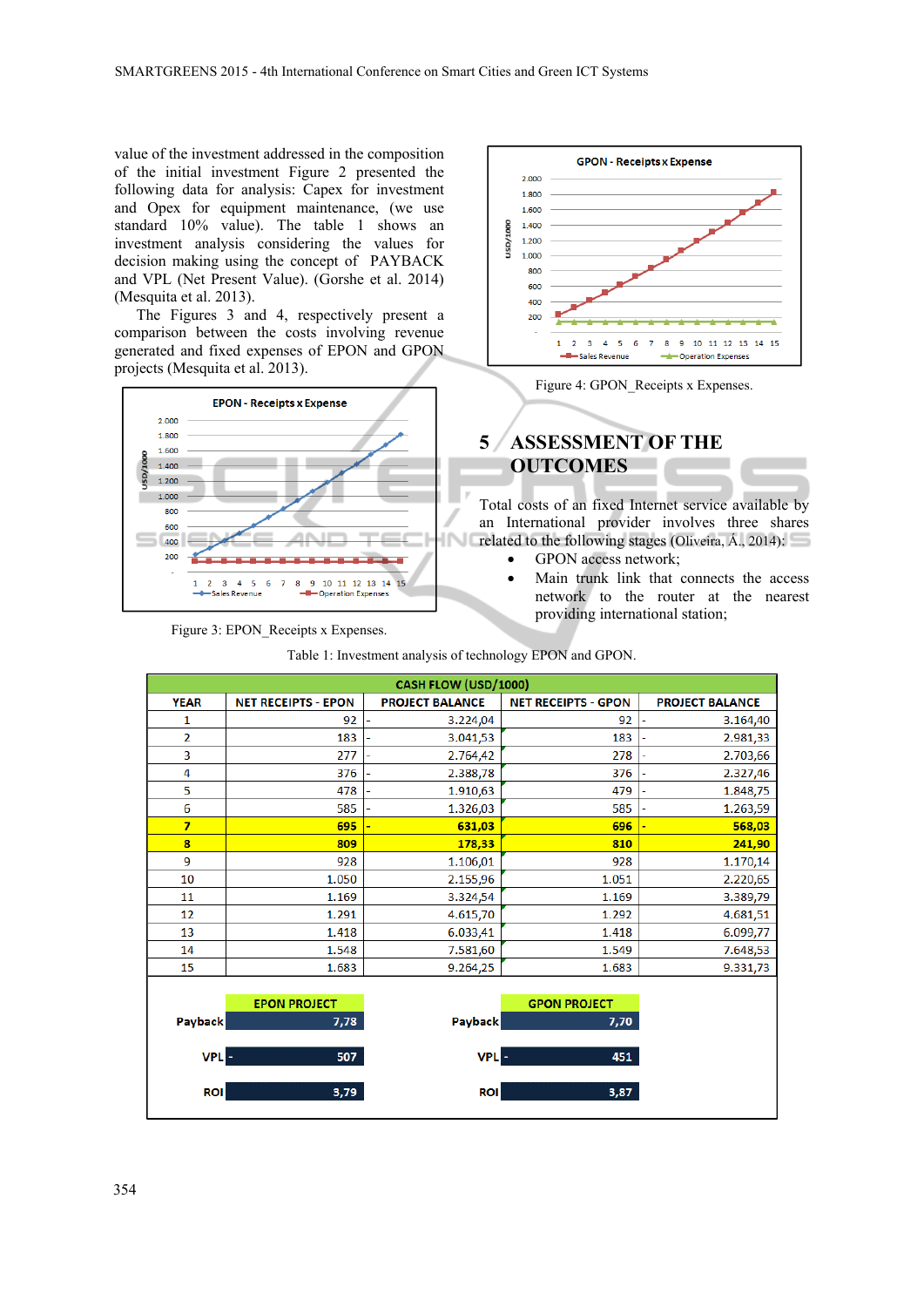value of the investment addressed in the composition of the initial investment Figure 2 presented the following data for analysis: Capex for investment and Opex for equipment maintenance, (we use standard 10% value). The table 1 shows an investment analysis considering the values for decision making using the concept of PAYBACK and VPL (Net Present Value). (Gorshe et al. 2014) (Mesquita et al. 2013).

The Figures 3 and 4, respectively present a comparison between the costs involving revenue generated and fixed expenses of EPON and GPON projects (Mesquita et al. 2013).



Figure 3: EPON\_Receipts x Expenses.



Figure 4: GPON\_Receipts x Expenses.

# **5 ASSESSMENT OF THE OUTCOMES**

Total costs of an fixed Internet service available by an International provider involves three shares related to the following stages (Oliveira, Á., 2014):

451

 $3,87$ 

- GPON access network;
- Main trunk link that connects the access network to the router at the nearest providing international station;

| CASH FLOW (USD/1000) |                            |                        |                            |                        |
|----------------------|----------------------------|------------------------|----------------------------|------------------------|
| <b>YEAR</b>          | <b>NET RECEIPTS - EPON</b> | <b>PROJECT BALANCE</b> | <b>NET RECEIPTS - GPON</b> | <b>PROJECT BALANCE</b> |
| 1                    | 92                         | 3.224,04               | 92                         | 3.164,40               |
| $\overline{2}$       | 183                        | 3.041,53               | 183                        | 2.981,33               |
| $\overline{3}$       | 277                        | 2.764,42               | 278                        | 2.703,66               |
| 4                    | 376                        | 2.388,78               | 376                        | 2.327,46               |
| 5                    | 478                        | 1.910,63               | 479                        | 1.848,75               |
| 6                    | 585                        | 1.326,03               | 585                        | 1.263,59               |
| $\overline{7}$       | 695                        | 631,03                 | 696                        | 568,03                 |
| 8                    | 809                        | 178,33                 | 810                        | 241,90                 |
| 9                    | 928                        | 1.106,01               | 928                        | 1.170,14               |
| 10                   | 1.050                      | 2.155,96               | 1.051                      | 2.220,65               |
| 11                   | 1.169                      | 3.324,54               | 1.169                      | 3.389,79               |
| 12                   | 1.291                      | 4.615,70               | 1.292                      | 4.681,51               |
| 13                   | 1.418                      | 6.033,41               | 1.418                      | 6.099,77               |
| 14                   | 1.548                      | 7.581,60               | 1.549                      | 7.648,53               |
| 15                   | 1.683                      | 9.264,25               | 1.683                      | 9.331,73               |
|                      |                            |                        |                            |                        |
|                      | <b>EPON PROJECT</b>        |                        | <b>GPON PROJECT</b>        |                        |
| Payback              | 7,78                       | Payback                | 7,70                       |                        |

**VPL** 

**ROI** 

Table 1: Investment analysis of technology EPON and GPON.

507

 $3,79$ 

**VPI** 

**ROI**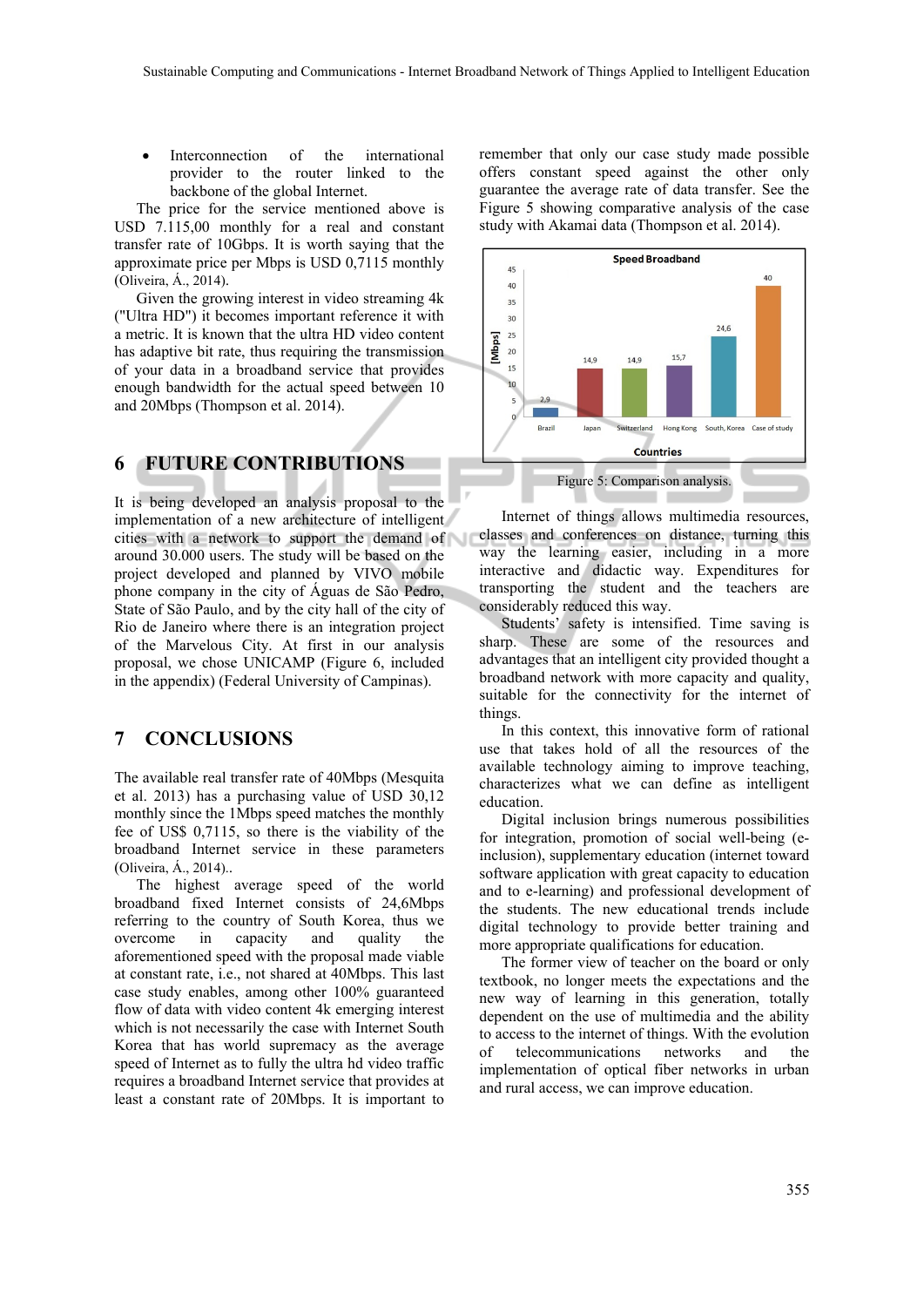Interconnection of the international provider to the router linked to the backbone of the global Internet.

The price for the service mentioned above is USD 7.115,00 monthly for a real and constant transfer rate of 10Gbps. It is worth saying that the approximate price per Mbps is USD 0,7115 monthly (Oliveira, Á., 2014).

Given the growing interest in video streaming 4k ("Ultra HD") it becomes important reference it with a metric. It is known that the ultra HD video content has adaptive bit rate, thus requiring the transmission of your data in a broadband service that provides enough bandwidth for the actual speed between 10 and 20Mbps (Thompson et al. 2014).

#### **6 FUTURE CONTRIBUTIONS**

It is being developed an analysis proposal to the implementation of a new architecture of intelligent cities with a network to support the demand of around 30.000 users. The study will be based on the project developed and planned by VIVO mobile phone company in the city of Águas de São Pedro, State of São Paulo, and by the city hall of the city of Rio de Janeiro where there is an integration project of the Marvelous City. At first in our analysis proposal, we chose UNICAMP (Figure 6, included in the appendix) (Federal University of Campinas).

#### **7 CONCLUSIONS**

The available real transfer rate of 40Mbps (Mesquita et al. 2013) has a purchasing value of USD 30,12 monthly since the 1Mbps speed matches the monthly fee of US\$ 0,7115, so there is the viability of the broadband Internet service in these parameters (Oliveira, Á., 2014)..

The highest average speed of the world broadband fixed Internet consists of 24,6Mbps referring to the country of South Korea, thus we overcome in capacity and quality the aforementioned speed with the proposal made viable at constant rate, i.e., not shared at 40Mbps. This last case study enables, among other 100% guaranteed flow of data with video content 4k emerging interest which is not necessarily the case with Internet South Korea that has world supremacy as the average speed of Internet as to fully the ultra hd video traffic requires a broadband Internet service that provides at least a constant rate of 20Mbps. It is important to

remember that only our case study made possible offers constant speed against the other only guarantee the average rate of data transfer. See the Figure 5 showing comparative analysis of the case study with Akamai data (Thompson et al. 2014).



Internet of things allows multimedia resources, classes and conferences on distance, turning this way the learning easier, including in a more interactive and didactic way. Expenditures for transporting the student and the teachers are considerably reduced this way.

Students' safety is intensified. Time saving is sharp. These are some of the resources and advantages that an intelligent city provided thought a broadband network with more capacity and quality, suitable for the connectivity for the internet of things.

In this context, this innovative form of rational use that takes hold of all the resources of the available technology aiming to improve teaching, characterizes what we can define as intelligent education.

Digital inclusion brings numerous possibilities for integration, promotion of social well-being (einclusion), supplementary education (internet toward software application with great capacity to education and to e-learning) and professional development of the students. The new educational trends include digital technology to provide better training and more appropriate qualifications for education.

The former view of teacher on the board or only textbook, no longer meets the expectations and the new way of learning in this generation, totally dependent on the use of multimedia and the ability to access to the internet of things. With the evolution of telecommunications networks and the implementation of optical fiber networks in urban and rural access, we can improve education.